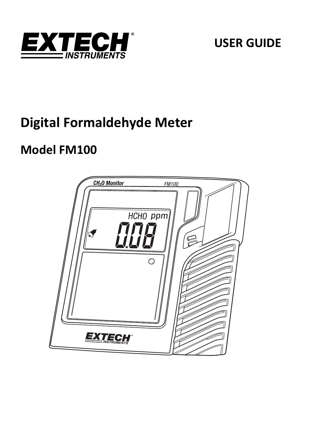

# **USER GUIDE**

# **Digital Formaldehyde Meter**

# **Model FM100**

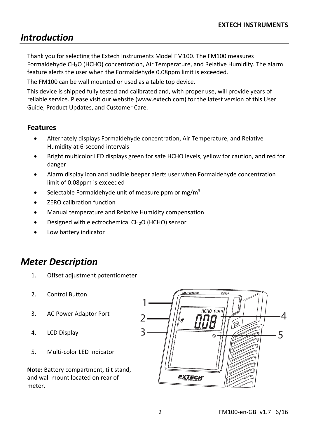# *Introduction*

Thank you for selecting the Extech Instruments Model FM100. The FM100 measures Formaldehyde CH<sub>2</sub>O (HCHO) concentration, Air Temperature, and Relative Humidity. The alarm feature alerts the user when the Formaldehyde 0.08ppm limit is exceeded.

The FM100 can be wall mounted or used as a table top device.

This device is shipped fully tested and calibrated and, with proper use, will provide years of reliable service. Please visit our website (www.extech.com) for the latest version of this User Guide, Product Updates, and Customer Care.

### **Features**

- Alternately displays Formaldehyde concentration, Air Temperature, and Relative Humidity at 6‐second intervals
- Bright multicolor LED displays green for safe HCHO levels, yellow for caution, and red for danger
- Alarm display icon and audible beeper alerts user when Formaldehyde concentration limit of 0.08ppm is exceeded
- Selectable Formaldehyde unit of measure ppm or  $me/m<sup>3</sup>$
- ZERO calibration function
- Manual temperature and Relative Humidity compensation
- Designed with electrochemical CH2O (HCHO) sensor
- Low battery indicator

# *Meter Description*

- 1. Offset adjustment potentiometer
- 2. Control Button
- 3. AC Power Adaptor Port
- 4. LCD Display
- 5. Multi‐color LED Indicator

**Note:** Battery compartment, tilt stand, and wall mount located on rear of meter.

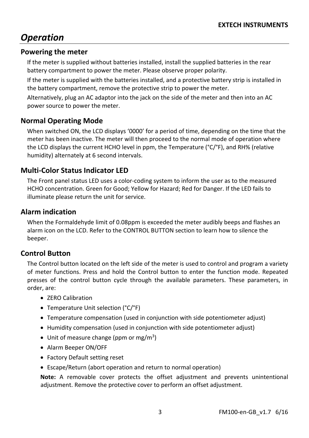# *Operation*

#### **Powering the meter**

If the meter is supplied without batteries installed, install the supplied batteries in the rear battery compartment to power the meter. Please observe proper polarity.

If the meter is supplied with the batteries installed, and a protective battery strip is installed in the battery compartment, remove the protective strip to power the meter.

Alternatively, plug an AC adaptor into the jack on the side of the meter and then into an AC power source to power the meter.

### **Normal Operating Mode**

When switched ON, the LCD displays '0000' for a period of time, depending on the time that the meter has been inactive. The meter will then proceed to the normal mode of operation where the LCD displays the current HCHO level in ppm, the Temperature (°C/°F), and RH% (relative humidity) alternately at 6 second intervals.

### **Multi‐Color Status Indicator LED**

The Front panel status LED uses a color‐coding system to inform the user as to the measured HCHO concentration. Green for Good; Yellow for Hazard; Red for Danger. If the LED fails to illuminate please return the unit for service.

#### **Alarm indication**

When the Formaldehyde limit of 0.08ppm is exceeded the meter audibly beeps and flashes an alarm icon on the LCD. Refer to the CONTROL BUTTON section to learn how to silence the beeper.

#### **Control Button**

The Control button located on the left side of the meter is used to control and program a variety of meter functions. Press and hold the Control button to enter the function mode. Repeated presses of the control button cycle through the available parameters. These parameters, in order, are:

- **ZERO Calibration**
- Temperature Unit selection (°C/°F)
- Temperature compensation (used in conjunction with side potentiometer adjust)
- Humidity compensation (used in conjunction with side potentiometer adjust)
- $\bullet$  Unit of measure change (ppm or mg/m<sup>3</sup>)
- Alarm Beeper ON/OFF
- Factory Default setting reset
- Escape/Return (abort operation and return to normal operation)

**Note:** A removable cover protects the offset adjustment and prevents unintentional adjustment. Remove the protective cover to perform an offset adjustment.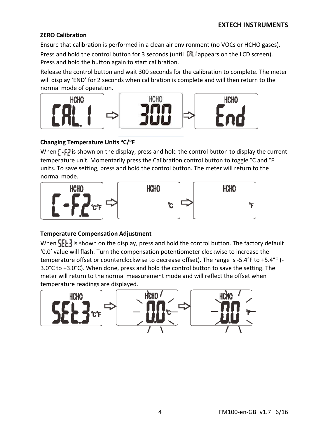#### **ZERO Calibration**

Ensure that calibration is performed in a clean air environment (no VOCs or HCHO gases).

Press and hold the control button for 3 seconds (until  $[RL]$  appears on the LCD screen). Press and hold the button again to start calibration.

Release the control button and wait 300 seconds for the calibration to complete. The meter will display 'END' for 2 seconds when calibration is complete and will then return to the normal mode of operation.



#### **Changing Temperature Units oC/oF**

When  $\left[ \cdot \right]$  is shown on the display, press and hold the control button to display the current temperature unit. Momentarily press the Calibration control button to toggle °C and °F units. To save setting, press and hold the control button. The meter will return to the normal mode.



#### **Temperature Compensation Adjustment**

When  $\left\{ \cdot \right\}$  is shown on the display, press and hold the control button. The factory default '0.0' value will flash. Turn the compensation potentiometer clockwise to increase the temperature offset or counterclockwise to decrease offset). The range is ‐5.4°F to +5.4°F (‐ 3.0°C to +3.0°C). When done, press and hold the control button to save the setting. The meter will return to the normal measurement mode and will reflect the offset when temperature readings are displayed.

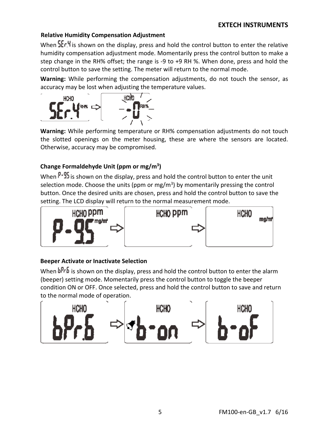#### **EXTECH INSTRUMENTS**

#### **Relative Humidity Compensation Adjustment**

When  $\frac{1}{2}$  is shown on the display, press and hold the control button to enter the relative humidity compensation adjustment mode. Momentarily press the control button to make a step change in the RH% offset; the range is ‐9 to +9 RH %. When done, press and hold the control button to save the setting. The meter will return to the normal mode.

**Warning:** While performing the compensation adjustments, do not touch the sensor, as accuracy may be lost when adjusting the temperature values.



**Warning:** While performing temperature or RH% compensation adjustments do not touch the slotted openings on the meter housing, these are where the sensors are located. Otherwise, accuracy may be compromised.

#### **Change Formaldehyde Unit (ppm or mg/m3)**

When  $P-25$  is shown on the display, press and hold the control button to enter the unit selection mode. Choose the units (ppm or  $mg/m<sup>3</sup>$ ) by momentarily pressing the control button. Once the desired units are chosen, press and hold the control button to save the setting. The LCD display will return to the normal measurement mode.



#### **Beeper Activate or Inactivate Selection**

When bPrb is shown on the display, press and hold the control button to enter the alarm (beeper) setting mode. Momentarily press the control button to toggle the beeper condition ON or OFF. Once selected, press and hold the control button to save and return to the normal mode of operation.

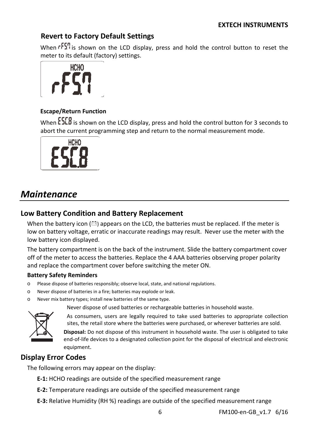## **Revert to Factory Default Settings**

When  $\sqrt{5}$  is shown on the LCD display, press and hold the control button to reset the meter to its default (factory) settings.



#### **Escape/Return Function**

When **ESEB** is shown on the LCD display, press and hold the control button for 3 seconds to abort the current programming step and return to the normal measurement mode.



# *Maintenance*

### **Low Battery Condition and Battery Replacement**

When the battery icon  $(\triangle)$  appears on the LCD, the batteries must be replaced. If the meter is low on battery voltage, erratic or inaccurate readings may result. Never use the meter with the low battery icon displayed.

The battery compartment is on the back of the instrument. Slide the battery compartment cover off of the meter to access the batteries. Replace the 4 AAA batteries observing proper polarity and replace the compartment cover before switching the meter ON.

#### **Battery Safety Reminders**

- o Please dispose of batteries responsibly; observe local, state, and national regulations.
- Never dispose of batteries in a fire; batteries may explode or leak.
- o Never mix battery types; install new batteries of the same type.

Never dispose of used batteries or rechargeable batteries in household waste.



As consumers, users are legally required to take used batteries to appropriate collection sites, the retail store where the batteries were purchased, or wherever batteries are sold.

**Disposal:** Do not dispose of this instrument in household waste. The user is obligated to take end-of-life devices to a designated collection point for the disposal of electrical and electronic equipment.

## **Display Error Codes**

The following errors may appear on the display:

- **E‐1:** HCHO readings are outside of the specified measurement range
- **E‐2:** Temperature readings are outside of the specified measurement range
- **E‐3:** Relative Humidity (RH %) readings are outside of the specified measurement range